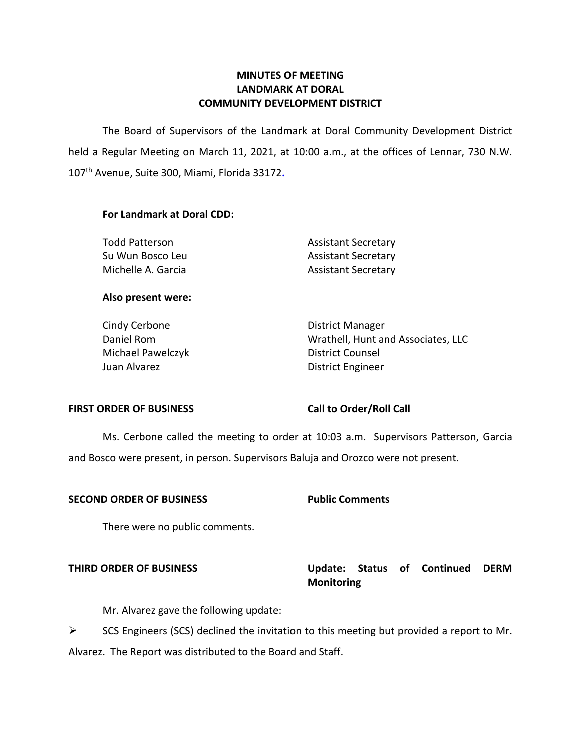### **LANDMARK AT DORAL MINUTES OF MEETING COMMUNITY DEVELOPMENT DISTRICT**

 The Board of Supervisors of the Landmark at Doral Community Development District held a Regular Meeting on March 11, 2021, at 10:00 a.m., at the offices of Lennar, 730 N.W.  107th Avenue, Suite 300, Miami, Florida 33172**. For Landmark at Doral CDD:** 

Su Wun Bosco Leu Michelle A. Garcia **Assistant Secretary** 

Todd Patterson **Assistant Secretary** Assistant Secretary

#### **Also present were:**

Cindy Cerbone **District Manager** Michael Pawelczyk District Counsel Juan Alvarez **District Engineer** 

Daniel Rom Wrathell, Hunt and Associates, LLC

#### FIRST ORDER OF BUSINESS Call to Order/Roll Call

 Ms. Cerbone called the meeting to order at 10:03 a.m. Supervisors Patterson, Garcia and Bosco were present, in person. Supervisors Baluja and Orozco were not present.

#### **SECOND ORDER OF BUSINESS Public Comments**

There were no public comments.

## **THIRD ORDER OF BUSINESS Update: Status of Continued DERM Monitoring**

Mr. Alvarez gave the following update:

 $\triangleright$  SCS Engineers (SCS) declined the invitation to this meeting but provided a report to Mr. Alvarez. The Report was distributed to the Board and Staff.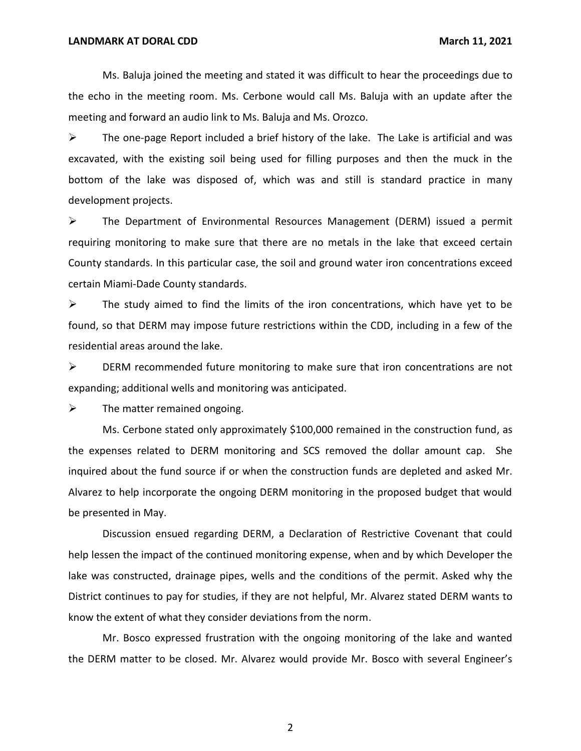Ms. Baluja joined the meeting and stated it was difficult to hear the proceedings due to the echo in the meeting room. Ms. Cerbone would call Ms. Baluja with an update after the meeting and forward an audio link to Ms. Baluja and Ms. Orozco.

 $\triangleright$  The one-page Report included a brief history of the lake. The Lake is artificial and was excavated, with the existing soil being used for filling purposes and then the muck in the bottom of the lake was disposed of, which was and still is standard practice in many development projects.

 ➢ The Department of Environmental Resources Management (DERM) issued a permit requiring monitoring to make sure that there are no metals in the lake that exceed certain County standards. In this particular case, the soil and ground water iron concentrations exceed certain Miami-Dade County standards.

 $\triangleright$  The study aimed to find the limits of the iron concentrations, which have yet to be found, so that DERM may impose future restrictions within the CDD, including in a few of the residential areas around the lake.

 ➢ DERM recommended future monitoring to make sure that iron concentrations are not expanding; additional wells and monitoring was anticipated.

 $\triangleright$  The matter remained ongoing.

 the expenses related to DERM monitoring and SCS removed the dollar amount cap. She inquired about the fund source if or when the construction funds are depleted and asked Mr. Alvarez to help incorporate the ongoing DERM monitoring in the proposed budget that would be presented in May. Ms. Cerbone stated only approximately \$100,000 remained in the construction fund, as

 Discussion ensued regarding DERM, a Declaration of Restrictive Covenant that could help lessen the impact of the continued monitoring expense, when and by which Developer the District continues to pay for studies, if they are not helpful, Mr. Alvarez stated DERM wants to know the extent of what they consider deviations from the norm. lake was constructed, drainage pipes, wells and the conditions of the permit. Asked why the

 Mr. Bosco expressed frustration with the ongoing monitoring of the lake and wanted the DERM matter to be closed. Mr. Alvarez would provide Mr. Bosco with several Engineer's

2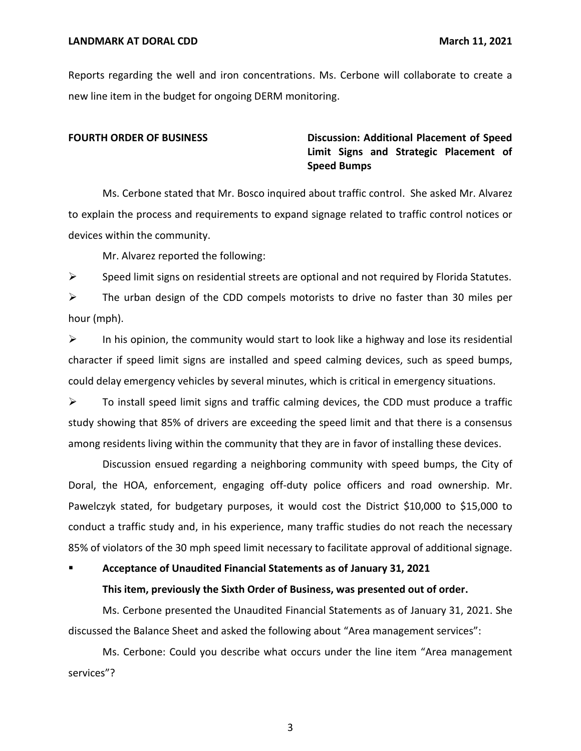Reports regarding the well and iron concentrations. Ms. Cerbone will collaborate to create a new line item in the budget for ongoing DERM monitoring.

### **FOURTH ORDER OF BUSINESS** Discussion: Additional Placement of Speed  **Limit Signs and Strategic Placement of Speed Bumps**

 Ms. Cerbone stated that Mr. Bosco inquired about traffic control. She asked Mr. Alvarez to explain the process and requirements to expand signage related to traffic control notices or devices within the community.

Mr. Alvarez reported the following:

 $\triangleright$  Speed limit signs on residential streets are optional and not required by Florida Statutes.

 $\triangleright$  The urban design of the CDD compels motorists to drive no faster than 30 miles per hour (mph).

 $\triangleright$  In his opinion, the community would start to look like a highway and lose its residential character if speed limit signs are installed and speed calming devices, such as speed bumps, could delay emergency vehicles by several minutes, which is critical in emergency situations.

 $\triangleright$  To install speed limit signs and traffic calming devices, the CDD must produce a traffic study showing that 85% of drivers are exceeding the speed limit and that there is a consensus among residents living within the community that they are in favor of installing these devices.

 Discussion ensued regarding a neighboring community with speed bumps, the City of Doral, the HOA, enforcement, engaging off-duty police officers and road ownership. Mr. Pawelczyk stated, for budgetary purposes, it would cost the District \$10,000 to \$15,000 to conduct a traffic study and, in his experience, many traffic studies do not reach the necessary 85% of violators of the 30 mph speed limit necessary to facilitate approval of additional signage.

#### ■ Acceptance of Unaudited Financial Statements as of January 31, 2021

#### **This item, previously the Sixth Order of Business, was presented out of order.**

Ms. Cerbone presented the Unaudited Financial Statements as of January 31, 2021. She discussed the Balance Sheet and asked the following about "Area management services":

 Ms. Cerbone: Could you describe what occurs under the line item "Area management services"?

3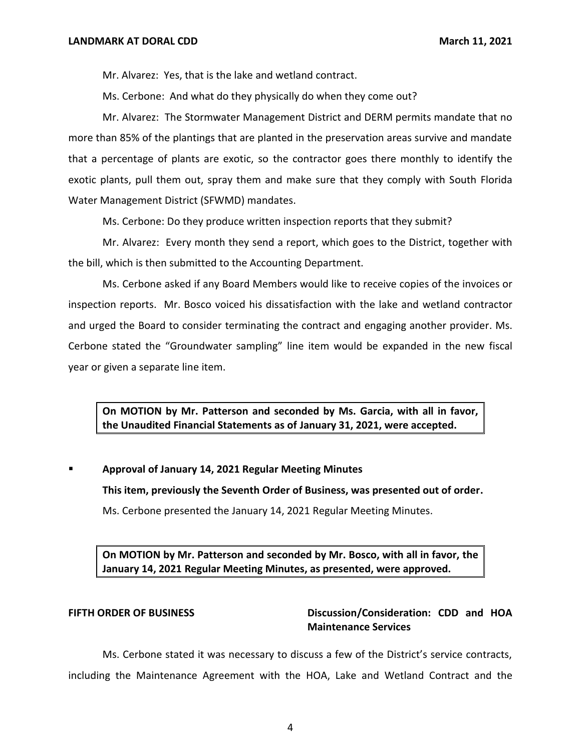Mr. Alvarez: Yes, that is the lake and wetland contract.

Ms. Cerbone: And what do they physically do when they come out?

 Mr. Alvarez: The Stormwater Management District and DERM permits mandate that no more than 85% of the plantings that are planted in the preservation areas survive and mandate that a percentage of plants are exotic, so the contractor goes there monthly to identify the exotic plants, pull them out, spray them and make sure that they comply with South Florida Water Management District (SFWMD) mandates.

Ms. Cerbone: Do they produce written inspection reports that they submit?

 Mr. Alvarez: Every month they send a report, which goes to the District, together with the bill, which is then submitted to the Accounting Department.

 Ms. Cerbone asked if any Board Members would like to receive copies of the invoices or inspection reports. Mr. Bosco voiced his dissatisfaction with the lake and wetland contractor and urged the Board to consider terminating the contract and engaging another provider. Ms. Cerbone stated the "Groundwater sampling" line item would be expanded in the new fiscal year or given a separate line item.

 **On MOTION by Mr. Patterson and seconded by Ms. Garcia, with all in favor, the Unaudited Financial Statements as of January 31, 2021, were accepted.** 

 ▪ **Approval of January 14, 2021 Regular Meeting Minutes** 

 **This item, previously the Seventh Order of Business, was presented out of order.** 

Ms. Cerbone presented the January 14, 2021 Regular Meeting Minutes.

 **On MOTION by Mr. Patterson and seconded by Mr. Bosco, with all in favor, the January 14, 2021 Regular Meeting Minutes, as presented, were approved.** 

**FIFTH ORDER OF BUSINESS** Discussion/Consideration: CDD and HOA **Maintenance Services** 

 Ms. Cerbone stated it was necessary to discuss a few of the District's service contracts, including the Maintenance Agreement with the HOA, Lake and Wetland Contract and the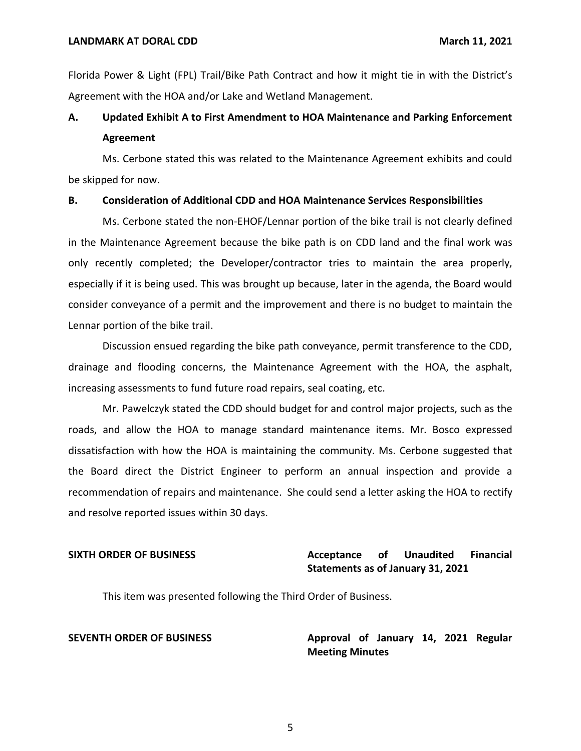Florida Power & Light (FPL) Trail/Bike Path Contract and how it might tie in with the District's Agreement with the HOA and/or Lake and Wetland Management.

## **A. Updated Exhibit A to First Amendment to HOA Maintenance and Parking Enforcement Agreement**

 Ms. Cerbone stated this was related to the Maintenance Agreement exhibits and could be skipped for now.

#### **B. Consideration of Additional CDD and HOA Maintenance Services Responsibilities**

 Ms. Cerbone stated the non-EHOF/Lennar portion of the bike trail is not clearly defined in the Maintenance Agreement because the bike path is on CDD land and the final work was only recently completed; the Developer/contractor tries to maintain the area properly, especially if it is being used. This was brought up because, later in the agenda, the Board would consider conveyance of a permit and the improvement and there is no budget to maintain the Lennar portion of the bike trail.

 Discussion ensued regarding the bike path conveyance, permit transference to the CDD, drainage and flooding concerns, the Maintenance Agreement with the HOA, the asphalt, increasing assessments to fund future road repairs, seal coating, etc.

 Mr. Pawelczyk stated the CDD should budget for and control major projects, such as the roads, and allow the HOA to manage standard maintenance items. Mr. Bosco expressed dissatisfaction with how the HOA is maintaining the community. Ms. Cerbone suggested that the Board direct the District Engineer to perform an annual inspection and provide a and resolve reported issues within 30 days. recommendation of repairs and maintenance. She could send a letter asking the HOA to rectify

#### **Acceptance Statements as of January 31, 2021 SIXTH ORDER OF BUSINESS Acceptance of Unaudited Financial**

This item was presented following the Third Order of Business.

**SEVENTH ORDER OF BUSINESS Approval of January 14, 2021 Regular Meeting Minutes**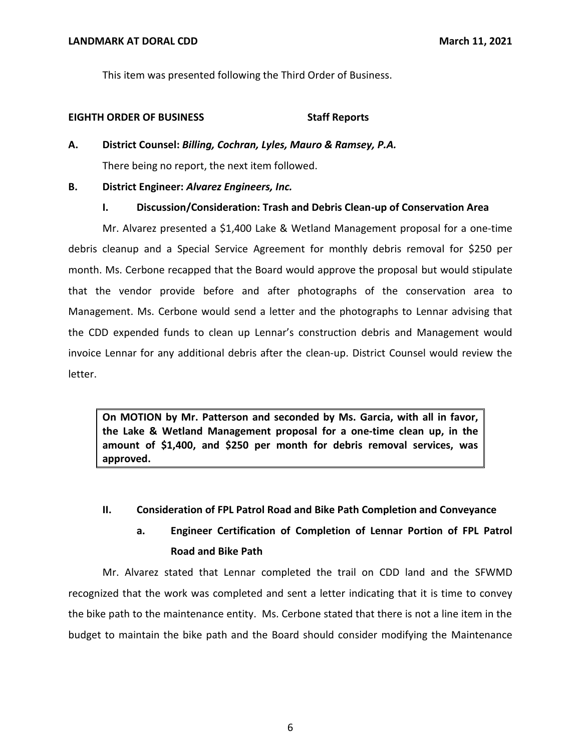This item was presented following the Third Order of Business.

#### **EIGHTH ORDER OF BUSINESS Staff Reports**

 **A. District Counsel:** *Billing, Cochran, Lyles, Mauro & Ramsey, P.A.*  There being no report, the next item followed.

#### **B. District Engineer:** *Alvarez Engineers, Inc.*

#### **I. Discussion/Consideration: Trash and Debris Clean-up of Conservation Area**

 Mr. Alvarez presented a \$1,400 Lake & Wetland Management proposal for a one-time debris cleanup and a Special Service Agreement for monthly debris removal for \$250 per month. Ms. Cerbone recapped that the Board would approve the proposal but would stipulate that the vendor provide before and after photographs of the conservation area to Management. Ms. Cerbone would send a letter and the photographs to Lennar advising that the CDD expended funds to clean up Lennar's construction debris and Management would invoice Lennar for any additional debris after the clean-up. District Counsel would review the letter.

 **On MOTION by Mr. Patterson and seconded by Ms. Garcia, with all in favor, the Lake & Wetland Management proposal for a one-time clean up, in the amount of \$1,400, and \$250 per month for debris removal services, was approved.** 

## **II. Consideration of FPL Patrol Road and Bike Path Completion and Conveyance**

# **a. Engineer Certification of Completion of Lennar Portion of FPL Patrol Road and Bike Path**

 Mr. Alvarez stated that Lennar completed the trail on CDD land and the SFWMD recognized that the work was completed and sent a letter indicating that it is time to convey the bike path to the maintenance entity. Ms. Cerbone stated that there is not a line item in the budget to maintain the bike path and the Board should consider modifying the Maintenance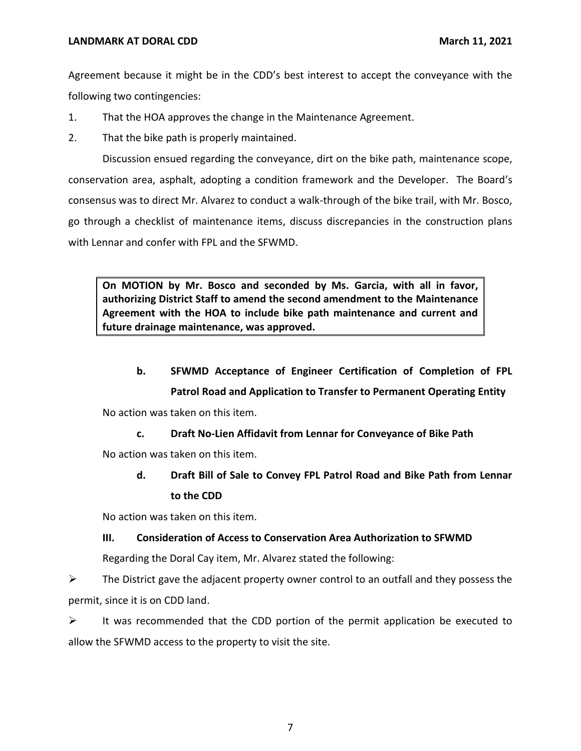Agreement because it might be in the CDD's best interest to accept the conveyance with the following two contingencies:

- 1. That the HOA approves the change in the Maintenance Agreement.
- 2. That the bike path is properly maintained.

 Discussion ensued regarding the conveyance, dirt on the bike path, maintenance scope, conservation area, asphalt, adopting a condition framework and the Developer. The Board's consensus was to direct Mr. Alvarez to conduct a walk-through of the bike trail, with Mr. Bosco, go through a checklist of maintenance items, discuss discrepancies in the construction plans with Lennar and confer with FPL and the SFWMD.

 **On MOTION by Mr. Bosco and seconded by Ms. Garcia, with all in favor, authorizing District Staff to amend the second amendment to the Maintenance Agreement with the HOA to include bike path maintenance and current and future drainage maintenance, was approved.** 

 **b. SFWMD Acceptance of Engineer Certification of Completion of FPL** 

 **Patrol Road and Application to Transfer to Permanent Operating Entity** 

No action was taken on this item.

 **c. Draft No-Lien Affidavit from Lennar for Conveyance of Bike Path** 

No action was taken on this item.

 **d. Draft Bill of Sale to Convey FPL Patrol Road and Bike Path from Lennar to the CDD** 

No action was taken on this item.

### **III. Consideration of Access to Conservation Area Authorization to SFWMD**

Regarding the Doral Cay item, Mr. Alvarez stated the following:

 $\triangleright$  The District gave the adjacent property owner control to an outfall and they possess the permit, since it is on CDD land.

 $\triangleright$  It was recommended that the CDD portion of the permit application be executed to allow the SFWMD access to the property to visit the site.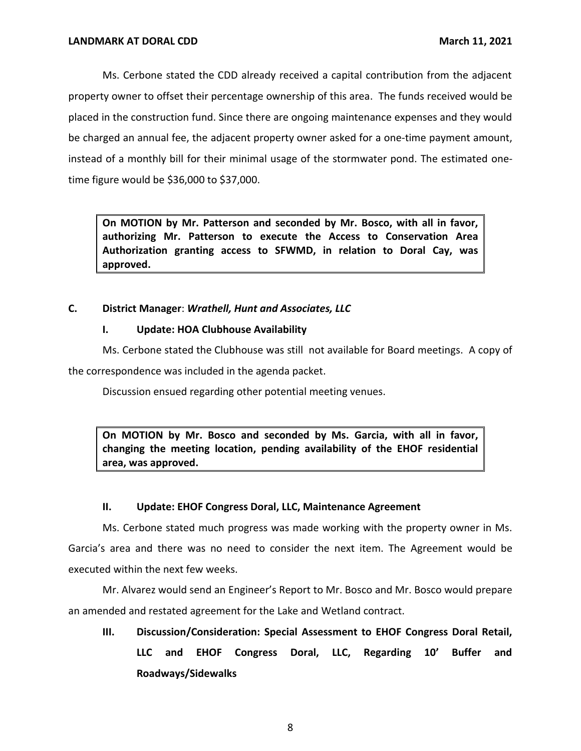Ms. Cerbone stated the CDD already received a capital contribution from the adjacent property owner to offset their percentage ownership of this area. The funds received would be placed in the construction fund. Since there are ongoing maintenance expenses and they would be charged an annual fee, the adjacent property owner asked for a one-time payment amount, instead of a monthly bill for their minimal usage of the stormwater pond. The estimated onetime figure would be \$36,000 to \$37,000.

 **On MOTION by Mr. Patterson and seconded by Mr. Bosco, with all in favor, authorizing Mr. Patterson to execute the Access to Conservation Area Authorization granting access to SFWMD, in relation to Doral Cay, was approved.** 

### **C. District Manager**: *Wrathell, Hunt and Associates, LLC*

### **I. Update: HOA Clubhouse Availability**

 Ms. Cerbone stated the Clubhouse was still not available for Board meetings. A copy of the correspondence was included in the agenda packet.

Discussion ensued regarding other potential meeting venues.

 **On MOTION by Mr. Bosco and seconded by Ms. Garcia, with all in favor, changing the meeting location, pending availability of the EHOF residential area, was approved.** 

### **II. Update: EHOF Congress Doral, LLC, Maintenance Agreement**

 Ms. Cerbone stated much progress was made working with the property owner in Ms. Garcia's area and there was no need to consider the next item. The Agreement would be executed within the next few weeks.

 Mr. Alvarez would send an Engineer's Report to Mr. Bosco and Mr. Bosco would prepare an amended and restated agreement for the Lake and Wetland contract.

 **III. Discussion/Consideration: Special Assessment to EHOF Congress Doral Retail, LLC and EHOF Congress Doral, LLC, Regarding 10' Buffer and Roadways/Sidewalks**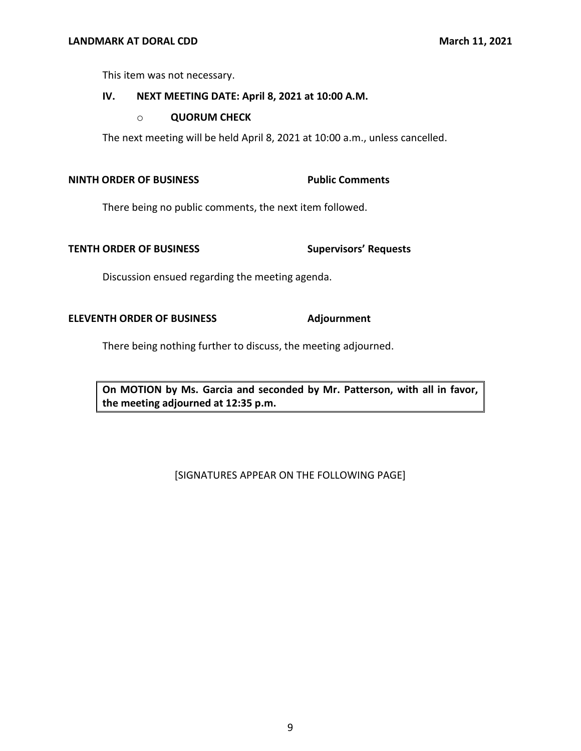This item was not necessary.

#### **IV. NEXT MEETING DATE: April 8, 2021 at 10:00 A.M.**

#### o **QUORUM CHECK**

The next meeting will be held April 8, 2021 at 10:00 a.m., unless cancelled.

### **NINTH ORDER OF BUSINESS Public Comments**

There being no public comments, the next item followed.

#### **TENTH ORDER OF BUSINESS**

Discussion ensued regarding the meeting agenda.

#### **ELEVENTH ORDER OF BUSINESS Adjournment**

There being nothing further to discuss, the meeting adjourned.

 **On MOTION by Ms. Garcia and seconded by Mr. Patterson, with all in favor, the meeting adjourned at 12:35 p.m.** 

#### [SIGNATURES APPEAR ON THE FOLLOWING PAGE]

#### **Supervisors' Requests**